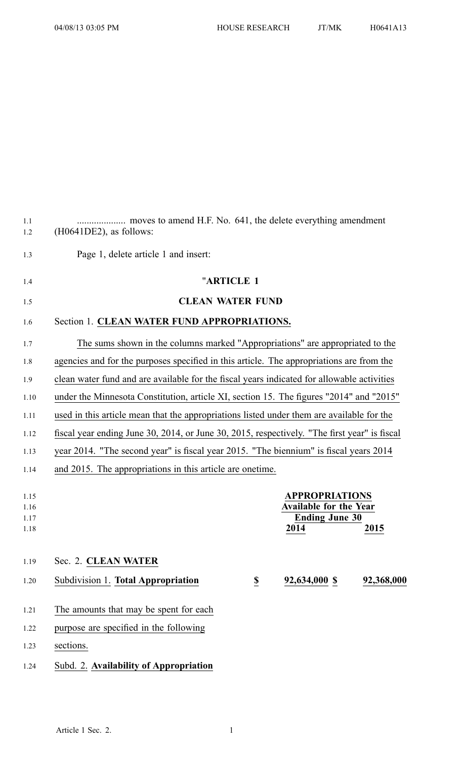| 1.1<br>1.2                   | $(H0641DE2)$ , as follows:                                                                      |  |  |  |  |
|------------------------------|-------------------------------------------------------------------------------------------------|--|--|--|--|
| 1.3                          | Page 1, delete article 1 and insert:                                                            |  |  |  |  |
| 1.4                          | "ARTICLE 1                                                                                      |  |  |  |  |
| 1.5                          | <b>CLEAN WATER FUND</b>                                                                         |  |  |  |  |
| 1.6                          | Section 1. CLEAN WATER FUND APPROPRIATIONS.                                                     |  |  |  |  |
| 1.7                          | The sums shown in the columns marked "Appropriations" are appropriated to the                   |  |  |  |  |
| 1.8                          | agencies and for the purposes specified in this article. The appropriations are from the        |  |  |  |  |
| 1.9                          | clean water fund and are available for the fiscal years indicated for allowable activities      |  |  |  |  |
| 1.10                         | under the Minnesota Constitution, article XI, section 15. The figures "2014" and "2015"         |  |  |  |  |
| 1.11                         | used in this article mean that the appropriations listed under them are available for the       |  |  |  |  |
| 1.12                         | fiscal year ending June 30, 2014, or June 30, 2015, respectively. "The first year" is fiscal    |  |  |  |  |
| 1.13                         | year 2014. "The second year" is fiscal year 2015. "The biennium" is fiscal years 2014           |  |  |  |  |
| 1.14                         | and 2015. The appropriations in this article are onetime.                                       |  |  |  |  |
| 1.15<br>1.16<br>1.17<br>1.18 | <b>APPROPRIATIONS</b><br><b>Available for the Year</b><br><b>Ending June 30</b><br>2014<br>2015 |  |  |  |  |
| 1.19                         | Sec. 2. CLEAN WATER                                                                             |  |  |  |  |
| 1.20                         | 92,634,000 \$<br>Subdivision 1. Total Appropriation<br>$\overline{\mathbf{S}}$<br>92,368,000    |  |  |  |  |
| 1.21                         | The amounts that may be spent for each                                                          |  |  |  |  |
| 1.22                         | purpose are specified in the following                                                          |  |  |  |  |
| 1.23                         | sections.                                                                                       |  |  |  |  |
| 1.24                         | Subd. 2. Availability of Appropriation                                                          |  |  |  |  |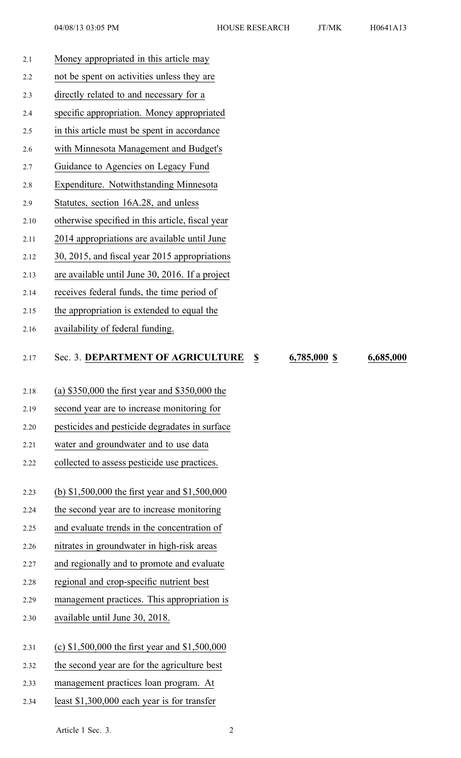| 2.1  | Money appropriated in this article may                                               |           |
|------|--------------------------------------------------------------------------------------|-----------|
| 2.2  | not be spent on activities unless they are                                           |           |
| 2.3  | directly related to and necessary for a                                              |           |
| 2.4  | specific appropriation. Money appropriated                                           |           |
| 2.5  | in this article must be spent in accordance                                          |           |
| 2.6  | with Minnesota Management and Budget's                                               |           |
| 2.7  | Guidance to Agencies on Legacy Fund                                                  |           |
| 2.8  | Expenditure. Notwithstanding Minnesota                                               |           |
| 2.9  | Statutes, section 16A.28, and unless                                                 |           |
| 2.10 | otherwise specified in this article, fiscal year                                     |           |
| 2.11 | 2014 appropriations are available until June                                         |           |
| 2.12 | 30, 2015, and fiscal year 2015 appropriations                                        |           |
| 2.13 | are available until June 30, 2016. If a project                                      |           |
| 2.14 | receives federal funds, the time period of                                           |           |
| 2.15 | the appropriation is extended to equal the                                           |           |
| 2.16 | availability of federal funding.                                                     |           |
|      |                                                                                      |           |
| 2.17 | Sec. 3. DEPARTMENT OF AGRICULTURE<br>6,785,000 \$<br>$\boldsymbol{\mathsf{S}}$       | 6,685,000 |
| 2.18 | (a) $$350,000$ the first year and $$350,000$ the                                     |           |
| 2.19 | second year are to increase monitoring for                                           |           |
| 2.20 | pesticides and pesticide degradates in surface                                       |           |
| 2.21 | water and groundwater and to use data                                                |           |
| 2.22 | collected to assess pesticide use practices.                                         |           |
|      |                                                                                      |           |
| 2.23 | (b) $$1,500,000$ the first year and $$1,500,000$                                     |           |
| 2.24 | the second year are to increase monitoring                                           |           |
| 2.25 | and evaluate trends in the concentration of                                          |           |
| 2.26 | nitrates in groundwater in high-risk areas                                           |           |
| 2.27 | and regionally and to promote and evaluate                                           |           |
| 2.28 | regional and crop-specific nutrient best                                             |           |
| 2.29 | management practices. This appropriation is                                          |           |
| 2.30 | available until June 30, 2018.                                                       |           |
|      |                                                                                      |           |
| 2.31 | (c) $$1,500,000$ the first year and $$1,500,000$                                     |           |
| 2.32 | the second year are for the agriculture best                                         |           |
| 2.33 |                                                                                      |           |
| 2.34 | management practices loan program. At<br>least \$1,300,000 each year is for transfer |           |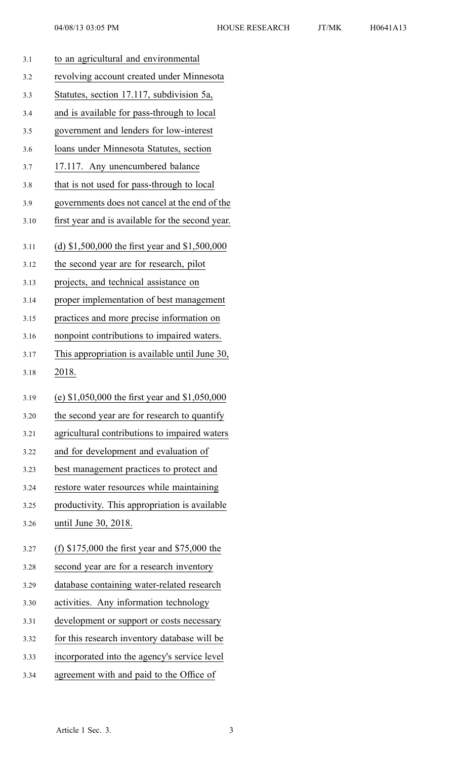| 3.1  | to an agricultural and environmental             |
|------|--------------------------------------------------|
| 3.2  | revolving account created under Minnesota        |
| 3.3  | Statutes, section 17.117, subdivision 5a,        |
| 3.4  | and is available for pass-through to local       |
| 3.5  | government and lenders for low-interest          |
| 3.6  | loans under Minnesota Statutes, section          |
| 3.7  | 17.117. Any unencumbered balance                 |
| 3.8  | that is not used for pass-through to local       |
| 3.9  | governments does not cancel at the end of the    |
| 3.10 | first year and is available for the second year. |
| 3.11 | (d) $$1,500,000$ the first year and $$1,500,000$ |
| 3.12 | the second year are for research, pilot          |
| 3.13 | projects, and technical assistance on            |
| 3.14 | proper implementation of best management         |
| 3.15 | practices and more precise information on        |
| 3.16 | nonpoint contributions to impaired waters.       |
| 3.17 | This appropriation is available until June 30,   |
|      |                                                  |
| 3.18 | 2018.                                            |
| 3.19 | (e) $$1,050,000$ the first year and $$1,050,000$ |
| 3.20 | the second year are for research to quantify     |
| 3.21 | agricultural contributions to impaired waters    |
| 3.22 | and for development and evaluation of            |
| 3.23 | best management practices to protect and         |
| 3.24 | restore water resources while maintaining        |
| 3.25 | productivity. This appropriation is available    |
| 3.26 | until June 30, 2018.                             |
| 3.27 | (f) $$175,000$ the first year and $$75,000$ the  |
| 3.28 | second year are for a research inventory         |
| 3.29 | database containing water-related research       |
| 3.30 | activities. Any information technology           |
| 3.31 | development or support or costs necessary        |
| 3.32 | for this research inventory database will be     |
| 3.33 | incorporated into the agency's service level     |

3.34 agreemen<sup>t</sup> with and paid to the Office of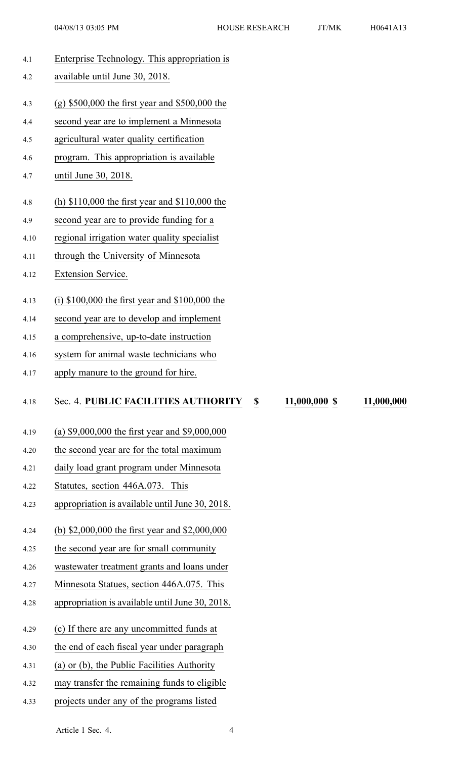| 4.1  | Enterprise Technology. This appropriation is                       |
|------|--------------------------------------------------------------------|
| 4.2  | available until June 30, 2018.                                     |
|      |                                                                    |
| 4.3  | $(g)$ \$500,000 the first year and \$500,000 the                   |
| 4.4  | second year are to implement a Minnesota                           |
| 4.5  | agricultural water quality certification                           |
| 4.6  | program. This appropriation is available                           |
| 4.7  | until June 30, 2018.                                               |
| 4.8  | (h) $$110,000$ the first year and $$110,000$ the                   |
| 4.9  | second year are to provide funding for a                           |
| 4.10 | regional irrigation water quality specialist                       |
| 4.11 | through the University of Minnesota                                |
| 4.12 | Extension Service.                                                 |
|      |                                                                    |
| 4.13 | (i) $$100,000$ the first year and $$100,000$ the                   |
| 4.14 | second year are to develop and implement                           |
| 4.15 | a comprehensive, up-to-date instruction                            |
| 4.16 | system for animal waste technicians who                            |
| 4.17 | apply manure to the ground for hire.                               |
|      | Sec. 4. PUBLIC FACILITIES AUTHORITY<br>11,000,000 \$<br>11,000,000 |
| 4.18 | \$                                                                 |
| 4.19 | (a) \$9,000,000 the first year and \$9,000,000                     |
| 4.20 | the second year are for the total maximum                          |
| 4.21 | daily load grant program under Minnesota                           |
| 4.22 | Statutes, section 446A.073. This                                   |
| 4.23 | appropriation is available until June 30, 2018.                    |
|      |                                                                    |
| 4.24 | (b) $$2,000,000$ the first year and $$2,000,000$                   |
| 4.25 | the second year are for small community                            |
| 4.26 | wastewater treatment grants and loans under                        |
| 4.27 | Minnesota Statues, section 446A.075. This                          |
| 4.28 | appropriation is available until June 30, 2018.                    |
|      |                                                                    |
| 4.29 | (c) If there are any uncommitted funds at                          |
| 4.30 | the end of each fiscal year under paragraph                        |
| 4.31 | (a) or (b), the Public Facilities Authority                        |
| 4.32 | may transfer the remaining funds to eligible                       |

4.33 projects under any of the programs listed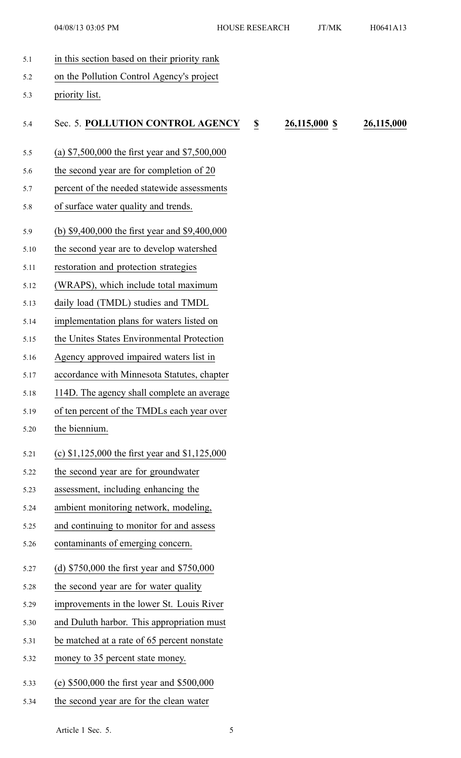5.1 in this section based on their priority rank 5.2 on the Pollution Control Agency's project 5.3 priority list. 5.4 Sec. 5. **POLLUTION CONTROL AGENCY \$ 26,115,000 \$ 26,115,000** 5.5 (a) \$7,500,000 the first year and \$7,500,000 5.6 the second year are for completion of 20 5.7 percen<sup>t</sup> of the needed statewide assessments 5.8 of surface water quality and trends. 5.9 (b) \$9,400,000 the first year and \$9,400,000 5.10 the second year are to develop watershed 5.11 restoration and protection strategies 5.12 (WRAPS), which include total maximum 5.13 daily load (TMDL) studies and TMDL 5.14 implementation plans for waters listed on 5.15 the Unites States Environmental Protection 5.16 Agency approved impaired waters list in 5.17 accordance with Minnesota Statutes, chapter 5.18 114D. The agency shall complete an average 5.19 of ten percen<sup>t</sup> of the TMDLs each year over 5.20 the biennium. 5.21 (c) \$1,125,000 the first year and \$1,125,000 5.22 the second year are for groundwater 5.23 assessment, including enhancing the 5.24 ambient monitoring network, modeling, 5.25 and continuing to monitor for and assess 5.26 contaminants of emerging concern. 5.27 (d) \$750,000 the first year and \$750,000 5.28 the second year are for water quality 5.29 improvements in the lower St. Louis River 5.30 and Duluth harbor. This appropriation must 5.31 be matched at <sup>a</sup> rate of 65 percen<sup>t</sup> nonstate 5.32 money to 35 percen<sup>t</sup> state money. 5.33 (e) \$500,000 the first year and \$500,000 5.34 the second year are for the clean water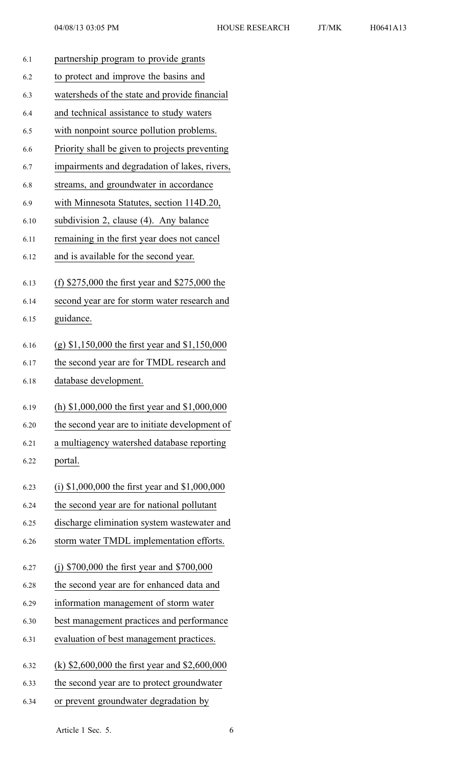| 6.1  | partnership program to provide grants            |
|------|--------------------------------------------------|
| 6.2  | to protect and improve the basins and            |
| 6.3  | watersheds of the state and provide financial    |
| 6.4  | and technical assistance to study waters         |
| 6.5  | with nonpoint source pollution problems.         |
| 6.6  | Priority shall be given to projects preventing   |
| 6.7  | impairments and degradation of lakes, rivers,    |
| 6.8  | streams, and groundwater in accordance           |
| 6.9  | with Minnesota Statutes, section 114D.20,        |
| 6.10 | subdivision 2, clause (4). Any balance           |
| 6.11 | remaining in the first year does not cancel      |
| 6.12 | and is available for the second year.            |
| 6.13 | (f) $$275,000$ the first year and $$275,000$ the |
| 6.14 | second year are for storm water research and     |
| 6.15 | guidance.                                        |
| 6.16 | (g) $$1,150,000$ the first year and $$1,150,000$ |
| 6.17 | the second year are for TMDL research and        |
| 6.18 | database development.                            |
| 6.19 | (h) $$1,000,000$ the first year and $$1,000,000$ |
| 6.20 | the second year are to initiate development of   |
| 6.21 | a multiagency watershed database reporting       |
| 6.22 | portal.                                          |
| 6.23 | (i) $$1,000,000$ the first year and $$1,000,000$ |
| 6.24 | the second year are for national pollutant       |
| 6.25 | discharge elimination system wastewater and      |
| 6.26 | storm water TMDL implementation efforts.         |
| 6.27 | (j) $$700,000$ the first year and $$700,000$     |
| 6.28 | the second year are for enhanced data and        |
| 6.29 | information management of storm water            |
| 6.30 | best management practices and performance        |
| 6.31 | evaluation of best management practices.         |
| 6.32 | (k) $$2,600,000$ the first year and $$2,600,000$ |
| 6.33 | the second year are to protect groundwater       |
| 6.34 | or prevent groundwater degradation by            |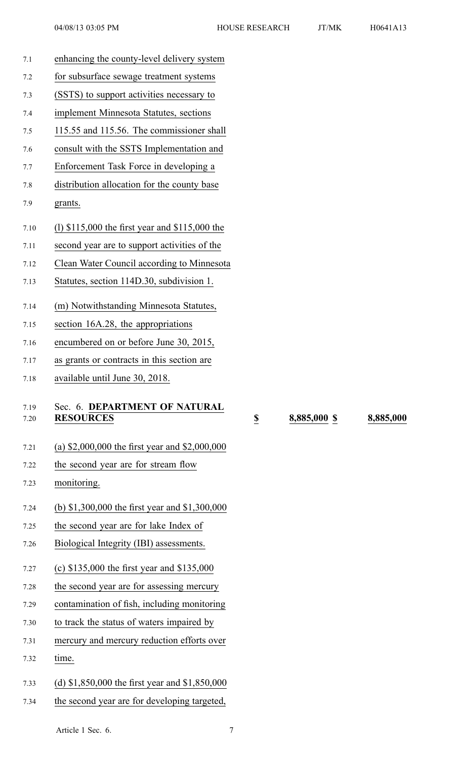| 7.1          | enhancing the county-level delivery system        |                         |
|--------------|---------------------------------------------------|-------------------------|
| 7.2          | for subsurface sewage treatment systems           |                         |
| 7.3          | (SSTS) to support activities necessary to         |                         |
| 7.4          | implement Minnesota Statutes, sections            |                         |
| 7.5          | 115.55 and 115.56. The commissioner shall         |                         |
| 7.6          | consult with the SSTS Implementation and          |                         |
| 7.7          | Enforcement Task Force in developing a            |                         |
| 7.8          | distribution allocation for the county base       |                         |
| 7.9          | grants.                                           |                         |
| 7.10         | (1) $$115,000$ the first year and $$115,000$ the  |                         |
| 7.11         | second year are to support activities of the      |                         |
| 7.12         | Clean Water Council according to Minnesota        |                         |
| 7.13         | Statutes, section 114D.30, subdivision 1.         |                         |
| 7.14         | (m) Notwithstanding Minnesota Statutes,           |                         |
| 7.15         | section 16A.28, the appropriations                |                         |
| 7.16         | encumbered on or before June 30, 2015,            |                         |
| 7.17         | as grants or contracts in this section are        |                         |
| 7.18         | available until June 30, 2018.                    |                         |
| 7.19<br>7.20 | Sec. 6. DEPARTMENT OF NATURAL<br><b>RESOURCES</b> | $\overline{\mathbf{2}}$ |
| 7.21         | (a) $$2,000,000$ the first year and $$2,000,000$  |                         |
| 7.22         | the second year are for stream flow               |                         |
| 7.23         | monitoring.                                       |                         |
| 7.24         | (b) \$1,300,000 the first year and \$1,300,000    |                         |
| 7.25         | the second year are for lake Index of             |                         |
| 7.26         | Biological Integrity (IBI) assessments.           |                         |
| 7.27         | (c) $$135,000$ the first year and $$135,000$      |                         |
| 7.28         | the second year are for assessing mercury         |                         |
| 7.29         | contamination of fish, including monitoring       |                         |
| 7.30         | to track the status of waters impaired by         |                         |
| 7.31         | mercury and mercury reduction efforts over        |                         |
| 7.32         | time.                                             |                         |
| 7.33         | (d) $$1,850,000$ the first year and $$1,850,000$  |                         |
| 7.34         | the second year are for developing targeted,      |                         |

7.20 **RESOURCES \$ 8,885,000 \$ 8,885,000**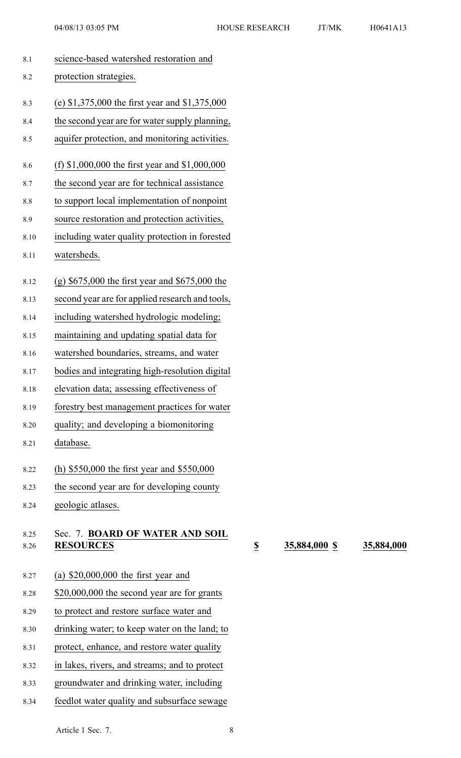| 8.1          | science-based watershed restoration and             |
|--------------|-----------------------------------------------------|
| 8.2          | protection strategies.                              |
| 8.3          | (e) \$1,375,000 the first year and \$1,375,000      |
| 8.4          | the second year are for water supply planning,      |
| 8.5          | aquifer protection, and monitoring activities.      |
| 8.6          | (f) $$1,000,000$ the first year and $$1,000,000$    |
| 8.7          | the second year are for technical assistance        |
| 8.8          | to support local implementation of nonpoint         |
| 8.9          | source restoration and protection activities,       |
| 8.10         | including water quality protection in forested      |
| 8.11         | watersheds.                                         |
| 8.12         | $(g)$ \$675,000 the first year and \$675,000 the    |
| 8.13         | second year are for applied research and tools,     |
| 8.14         | including watershed hydrologic modeling;            |
| 8.15         | maintaining and updating spatial data for           |
| 8.16         | watershed boundaries, streams, and water            |
| 8.17         | bodies and integrating high-resolution digital      |
| 8.18         | elevation data; assessing effectiveness of          |
| 8.19         | forestry best management practices for water        |
| 8.20         | quality; and developing a biomonitoring             |
| 8.21         | database.                                           |
| 8.22         | (h) $$550,000$ the first year and $$550,000$        |
| 8.23         | the second year are for developing county           |
| 8.24         | geologic atlases.                                   |
| 8.25<br>8.26 | Sec. 7. BOARD OF WATER AND SOIL<br><b>RESOURCES</b> |
| 8.27         | (a) $$20,000,000$ the first year and                |
| 8.28         | \$20,000,000 the second year are for grants         |
| 8.29         | to protect and restore surface water and            |
| 8.30         | drinking water; to keep water on the land; to       |
| 8.31         | protect, enhance, and restore water quality         |
| 8.32         | in lakes, rivers, and streams; and to protect       |
| 8.33         | groundwater and drinking water, including           |

8.34 feedlot water quality and subsurface sewage

8.26 **RESOURCES \$ 35,884,000 \$ 35,884,000**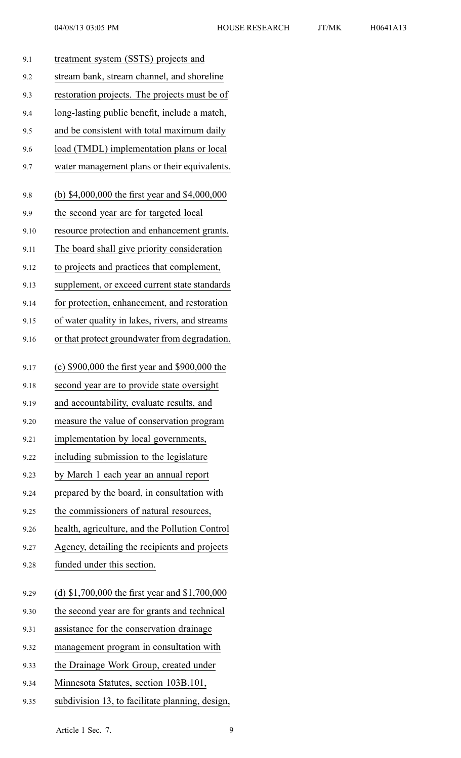| 9.1  | treatment system (SSTS) projects and           |
|------|------------------------------------------------|
| 9.2  | stream bank, stream channel, and shoreline     |
| 9.3  | restoration projects. The projects must be of  |
| 9.4  | long-lasting public benefit, include a match,  |
| 9.5  | and be consistent with total maximum daily     |
| 9.6  | load (TMDL) implementation plans or local      |
| 9.7  | water management plans or their equivalents.   |
| 9.8  | (b) \$4,000,000 the first year and \$4,000,000 |
| 9.9  | the second year are for targeted local         |
| 9.10 | resource protection and enhancement grants.    |
| 9.11 | The board shall give priority consideration    |
| 9.12 | to projects and practices that complement,     |
| 9.13 | supplement, or exceed current state standards  |
| 9.14 | for protection, enhancement, and restoration   |
| 9.15 | of water quality in lakes, rivers, and streams |
| 9.16 | or that protect groundwater from degradation.  |
| 9.17 | (c) \$900,000 the first year and \$900,000 the |
| 9.18 | second year are to provide state oversight     |
| 9.19 | and accountability, evaluate results, and      |
| 9.20 | measure the value of conservation program      |
| 9.21 | implementation by local governments,           |
| 9.22 | including submission to the legislature        |
| 9.23 | by March 1 each year an annual report          |
| 9.24 | prepared by the board, in consultation with    |
| 9.25 | the commissioners of natural resources,        |
| 9.26 | health, agriculture, and the Pollution Control |
| 9.27 | Agency, detailing the recipients and projects  |
| 9.28 | funded under this section.                     |
| 9.29 | (d) \$1,700,000 the first year and \$1,700,000 |
| 9.30 | the second year are for grants and technical   |
| 9.31 | assistance for the conservation drainage       |
| 9.32 | management program in consultation with        |
| 9.33 | the Drainage Work Group, created under         |
| 9.34 | Minnesota Statutes, section 103B.101,          |
|      |                                                |

9.35 subdivision 13, to facilitate planning, design,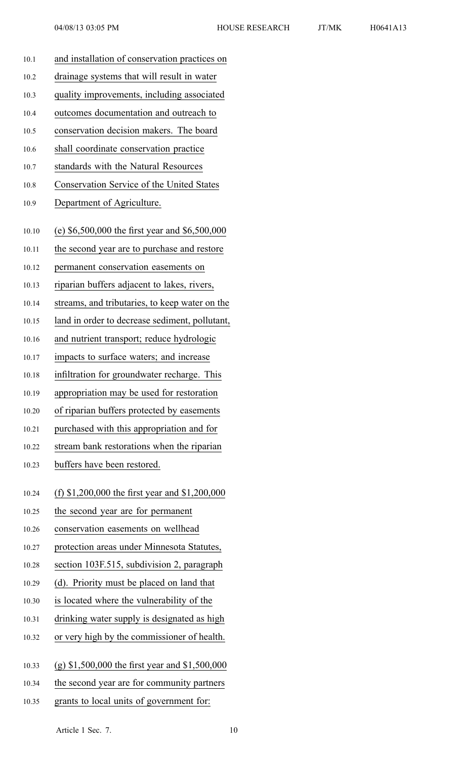| 10.1  | and installation of conservation practices on    |
|-------|--------------------------------------------------|
| 10.2  | drainage systems that will result in water       |
| 10.3  | quality improvements, including associated       |
| 10.4  | outcomes documentation and outreach to           |
| 10.5  | conservation decision makers. The board          |
| 10.6  | shall coordinate conservation practice           |
| 10.7  | standards with the Natural Resources             |
| 10.8  | Conservation Service of the United States        |
| 10.9  | Department of Agriculture.                       |
|       |                                                  |
| 10.10 | (e) $$6,500,000$ the first year and $$6,500,000$ |
| 10.11 | the second year are to purchase and restore      |
| 10.12 | permanent conservation easements on              |
| 10.13 | riparian buffers adjacent to lakes, rivers,      |
| 10.14 | streams, and tributaries, to keep water on the   |
| 10.15 | land in order to decrease sediment, pollutant,   |
| 10.16 | and nutrient transport; reduce hydrologic        |
| 10.17 | impacts to surface waters; and increase          |
| 10.18 | infiltration for groundwater recharge. This      |
| 10.19 | appropriation may be used for restoration        |
| 10.20 | of riparian buffers protected by easements       |
| 10.21 | purchased with this appropriation and for        |
| 10.22 | stream bank restorations when the riparian       |
| 10.23 | buffers have been restored.                      |
| 10.24 | (f) \$1,200,000 the first year and \$1,200,000   |
| 10.25 | the second year are for permanent                |
| 10.26 | conservation easements on wellhead               |
| 10.27 | protection areas under Minnesota Statutes,       |
| 10.28 | section 103F.515, subdivision 2, paragraph       |
| 10.29 | (d). Priority must be placed on land that        |
| 10.30 | is located where the vulnerability of the        |
| 10.31 | drinking water supply is designated as high      |
| 10.32 | or very high by the commissioner of health.      |
|       |                                                  |
| 10.33 | (g) $$1,500,000$ the first year and $$1,500,000$ |
| 10.34 | the second year are for community partners       |
| 10.35 | grants to local units of government for:         |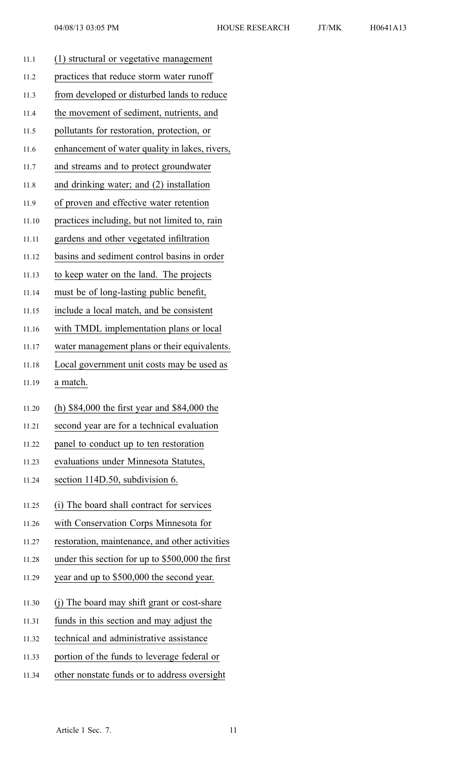|       | 04/08/13 03:05 PM                                | <b>HOUSE RESEARCH</b> | JT/MK | H0641A13 |  |  |  |
|-------|--------------------------------------------------|-----------------------|-------|----------|--|--|--|
| 11.1  | (1) structural or vegetative management          |                       |       |          |  |  |  |
| 11.2  | practices that reduce storm water runoff         |                       |       |          |  |  |  |
| 11.3  | from developed or disturbed lands to reduce      |                       |       |          |  |  |  |
| 11.4  | the movement of sediment, nutrients, and         |                       |       |          |  |  |  |
| 11.5  | pollutants for restoration, protection, or       |                       |       |          |  |  |  |
| 11.6  | enhancement of water quality in lakes, rivers,   |                       |       |          |  |  |  |
| 11.7  | and streams and to protect groundwater           |                       |       |          |  |  |  |
| 11.8  | and drinking water; and (2) installation         |                       |       |          |  |  |  |
| 11.9  | of proven and effective water retention          |                       |       |          |  |  |  |
| 11.10 | practices including, but not limited to, rain    |                       |       |          |  |  |  |
| 11.11 | gardens and other vegetated infiltration         |                       |       |          |  |  |  |
| 11.12 | basins and sediment control basins in order      |                       |       |          |  |  |  |
| 11.13 | to keep water on the land. The projects          |                       |       |          |  |  |  |
| 11.14 | must be of long-lasting public benefit,          |                       |       |          |  |  |  |
| 11.15 | include a local match, and be consistent         |                       |       |          |  |  |  |
| 11.16 | with TMDL implementation plans or local          |                       |       |          |  |  |  |
| 11.17 | water management plans or their equivalents.     |                       |       |          |  |  |  |
| 11.18 | Local government unit costs may be used as       |                       |       |          |  |  |  |
| 11.19 | a match.                                         |                       |       |          |  |  |  |
| 11.20 | (h) $$84,000$ the first year and $$84,000$ the   |                       |       |          |  |  |  |
| 11.21 | second year are for a technical evaluation       |                       |       |          |  |  |  |
| 11.22 | panel to conduct up to ten restoration           |                       |       |          |  |  |  |
| 11.23 | evaluations under Minnesota Statutes,            |                       |       |          |  |  |  |
| 11.24 | section 114D.50, subdivision 6.                  |                       |       |          |  |  |  |
| 11.25 | (i) The board shall contract for services        |                       |       |          |  |  |  |
| 11.26 | with Conservation Corps Minnesota for            |                       |       |          |  |  |  |
| 11.27 | restoration, maintenance, and other activities   |                       |       |          |  |  |  |
| 11.28 | under this section for up to \$500,000 the first |                       |       |          |  |  |  |
|       | ሰሮሰሰ ሰሰሰ                                         |                       |       |          |  |  |  |

- 11.29 year and up to \$500,000 the second year.
- 11.30 (j) The board may shift gran<sup>t</sup> or cost-share
- 11.31 funds in this section and may adjust the
- 11.32 technical and administrative assistance
- 11.33 portion of the funds to leverage federal or
- 11.34 other nonstate funds or to address oversight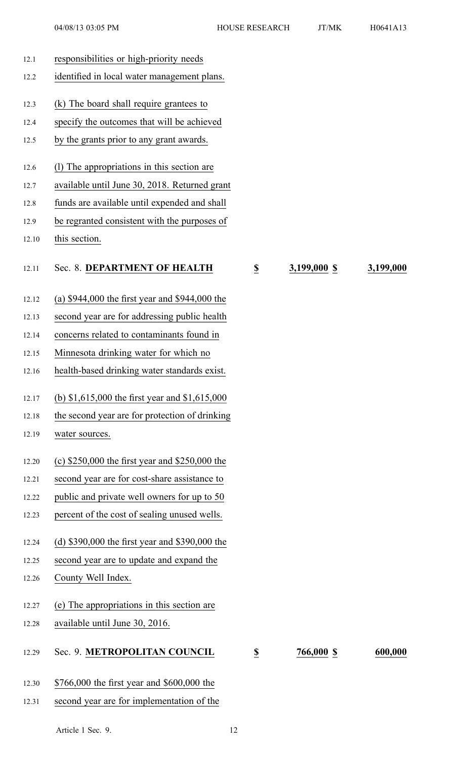| 12.1  | responsibilities or high-priority needs          |                          |              |           |
|-------|--------------------------------------------------|--------------------------|--------------|-----------|
| 12.2  | identified in local water management plans.      |                          |              |           |
| 12.3  | (k) The board shall require grantees to          |                          |              |           |
| 12.4  | specify the outcomes that will be achieved       |                          |              |           |
| 12.5  | by the grants prior to any grant awards.         |                          |              |           |
|       |                                                  |                          |              |           |
| 12.6  | (1) The appropriations in this section are       |                          |              |           |
| 12.7  | available until June 30, 2018. Returned grant    |                          |              |           |
| 12.8  | funds are available until expended and shall     |                          |              |           |
| 12.9  | be regranted consistent with the purposes of     |                          |              |           |
| 12.10 | this section.                                    |                          |              |           |
| 12.11 | Sec. 8. DEPARTMENT OF HEALTH                     | $\underline{\mathbb{S}}$ | 3,199,000 \$ | 3,199,000 |
| 12.12 | (a) $$944,000$ the first year and $$944,000$ the |                          |              |           |
| 12.13 | second year are for addressing public health     |                          |              |           |
| 12.14 | concerns related to contaminants found in        |                          |              |           |
| 12.15 | Minnesota drinking water for which no            |                          |              |           |
| 12.16 | health-based drinking water standards exist.     |                          |              |           |
| 12.17 | (b) $$1,615,000$ the first year and $$1,615,000$ |                          |              |           |
| 12.18 | the second year are for protection of drinking   |                          |              |           |
| 12.19 | water sources.                                   |                          |              |           |
|       |                                                  |                          |              |           |
| 12.20 | (c) $$250,000$ the first year and $$250,000$ the |                          |              |           |
| 12.21 | second year are for cost-share assistance to     |                          |              |           |
| 12.22 | public and private well owners for up to 50      |                          |              |           |
| 12.23 | percent of the cost of sealing unused wells.     |                          |              |           |
| 12.24 | (d) \$390,000 the first year and \$390,000 the   |                          |              |           |
| 12.25 | second year are to update and expand the         |                          |              |           |
| 12.26 | County Well Index.                               |                          |              |           |
|       |                                                  |                          |              |           |
| 12.27 | (e) The appropriations in this section are       |                          |              |           |
| 12.28 | available until June 30, 2016.                   |                          |              |           |
| 12.29 | Sec. 9. METROPOLITAN COUNCIL                     | $\overline{\mathbf{z}}$  | 766,000 \$   | 600,000   |
| 12.30 | \$766,000 the first year and \$600,000 the       |                          |              |           |
| 12.31 | second year are for implementation of the        |                          |              |           |
|       |                                                  |                          |              |           |